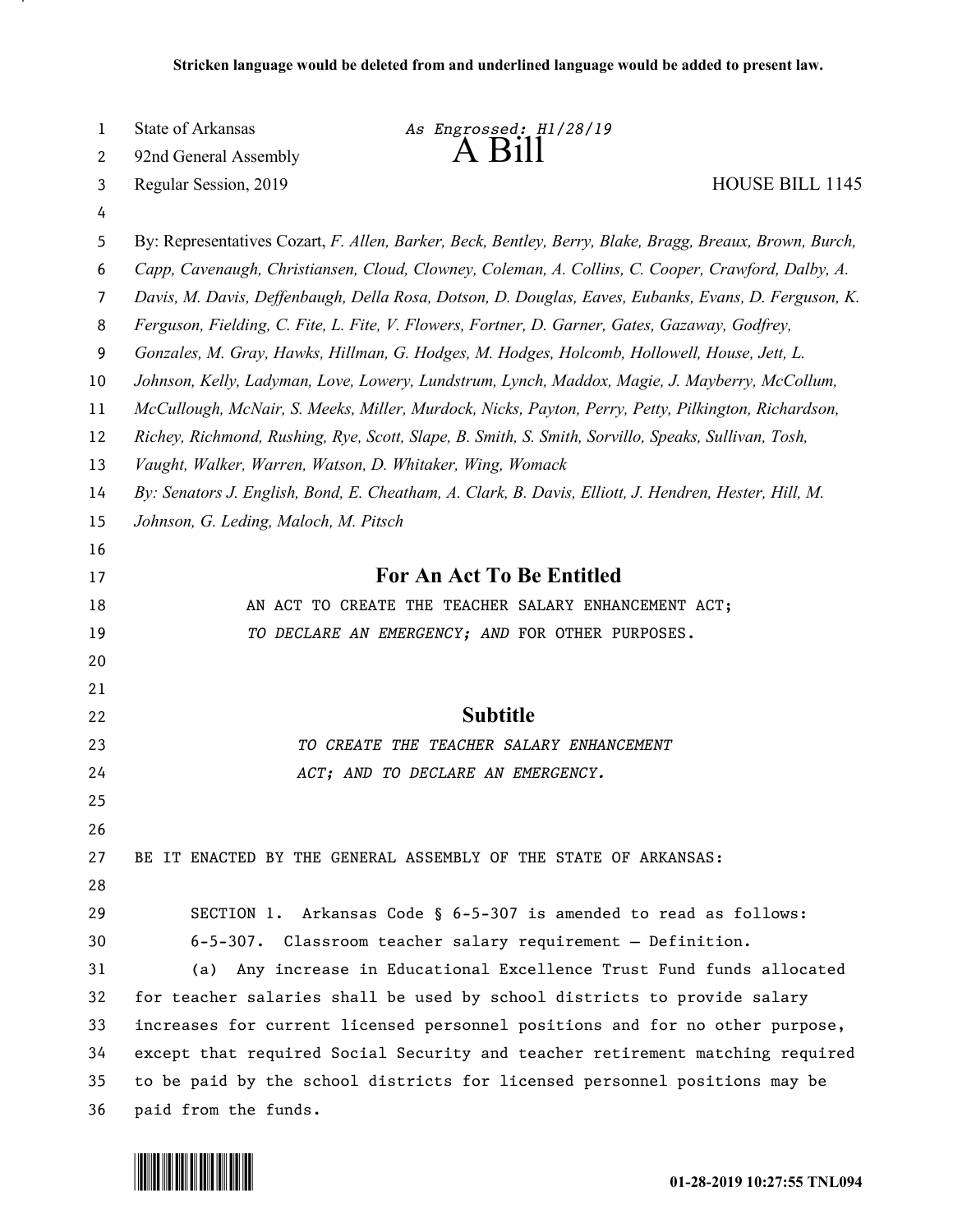| 1  | State of Arkansas<br>As Engrossed: H1/28/19                                                             |  |  |
|----|---------------------------------------------------------------------------------------------------------|--|--|
| 2  | 92nd General Assembly                                                                                   |  |  |
| 3  | <b>HOUSE BILL 1145</b><br>Regular Session, 2019                                                         |  |  |
| 4  |                                                                                                         |  |  |
| 5  | By: Representatives Cozart, F. Allen, Barker, Beck, Bentley, Berry, Blake, Bragg, Breaux, Brown, Burch, |  |  |
| 6  | Capp, Cavenaugh, Christiansen, Cloud, Clowney, Coleman, A. Collins, C. Cooper, Crawford, Dalby, A.      |  |  |
| 7  | Davis, M. Davis, Deffenbaugh, Della Rosa, Dotson, D. Douglas, Eaves, Eubanks, Evans, D. Ferguson, K.    |  |  |
| 8  | Ferguson, Fielding, C. Fite, L. Fite, V. Flowers, Fortner, D. Garner, Gates, Gazaway, Godfrey,          |  |  |
| 9  | Gonzales, M. Gray, Hawks, Hillman, G. Hodges, M. Hodges, Holcomb, Hollowell, House, Jett, L.            |  |  |
| 10 | Johnson, Kelly, Ladyman, Love, Lowery, Lundstrum, Lynch, Maddox, Magie, J. Mayberry, McCollum,          |  |  |
| 11 | McCullough, McNair, S. Meeks, Miller, Murdock, Nicks, Payton, Perry, Petty, Pilkington, Richardson,     |  |  |
| 12 | Richey, Richmond, Rushing, Rye, Scott, Slape, B. Smith, S. Smith, Sorvillo, Speaks, Sullivan, Tosh,     |  |  |
| 13 | Vaught, Walker, Warren, Watson, D. Whitaker, Wing, Womack                                               |  |  |
| 14 | By: Senators J. English, Bond, E. Cheatham, A. Clark, B. Davis, Elliott, J. Hendren, Hester, Hill, M.   |  |  |
| 15 | Johnson, G. Leding, Maloch, M. Pitsch                                                                   |  |  |
| 16 |                                                                                                         |  |  |
| 17 | <b>For An Act To Be Entitled</b>                                                                        |  |  |
| 18 | AN ACT TO CREATE THE TEACHER SALARY ENHANCEMENT ACT;                                                    |  |  |
| 19 | TO DECLARE AN EMERGENCY; AND FOR OTHER PURPOSES.                                                        |  |  |
| 20 |                                                                                                         |  |  |
| 21 |                                                                                                         |  |  |
| 22 | <b>Subtitle</b>                                                                                         |  |  |
| 23 | TO CREATE THE TEACHER SALARY ENHANCEMENT                                                                |  |  |
| 24 | ACT; AND TO DECLARE AN EMERGENCY.                                                                       |  |  |
| 25 |                                                                                                         |  |  |
| 26 |                                                                                                         |  |  |
| 27 | BE IT ENACTED BY THE GENERAL ASSEMBLY OF THE STATE OF ARKANSAS:                                         |  |  |
| 28 |                                                                                                         |  |  |
| 29 | SECTION 1. Arkansas Code § 6-5-307 is amended to read as follows:                                       |  |  |
| 30 | 6-5-307. Classroom teacher salary requirement - Definition.                                             |  |  |
| 31 | Any increase in Educational Excellence Trust Fund funds allocated<br>(a)                                |  |  |
| 32 | for teacher salaries shall be used by school districts to provide salary                                |  |  |
| 33 | increases for current licensed personnel positions and for no other purpose,                            |  |  |
| 34 | except that required Social Security and teacher retirement matching required                           |  |  |
| 35 | to be paid by the school districts for licensed personnel positions may be                              |  |  |
| 36 | paid from the funds.                                                                                    |  |  |

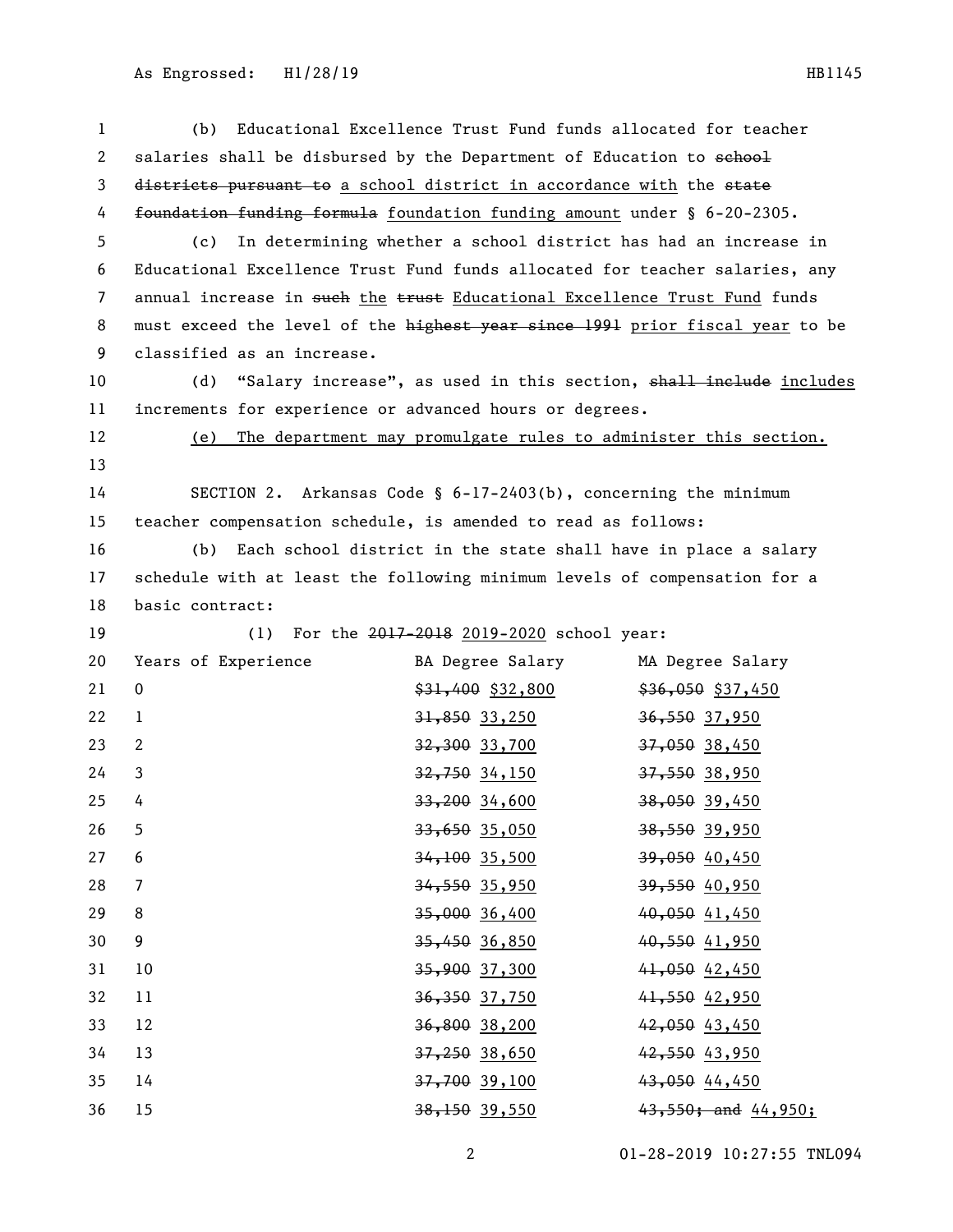| $\mathbf{1}$   | (b)                                                                          |                                                                 | Educational Excellence Trust Fund funds allocated for teacher      |
|----------------|------------------------------------------------------------------------------|-----------------------------------------------------------------|--------------------------------------------------------------------|
| 2              | salaries shall be disbursed by the Department of Education to school         |                                                                 |                                                                    |
| 3              | districts pursuant to a school district in accordance with the state         |                                                                 |                                                                    |
| 4              | foundation funding formula foundation funding amount under § 6-20-2305.      |                                                                 |                                                                    |
| 5              | (c)                                                                          |                                                                 | In determining whether a school district has had an increase in    |
| 6              | Educational Excellence Trust Fund funds allocated for teacher salaries, any  |                                                                 |                                                                    |
| $\overline{7}$ | annual increase in such the trust Educational Excellence Trust Fund funds    |                                                                 |                                                                    |
| 8              | must exceed the level of the highest year since 1991 prior fiscal year to be |                                                                 |                                                                    |
| 9              | classified as an increase.                                                   |                                                                 |                                                                    |
| 10             | (d)                                                                          |                                                                 | "Salary increase", as used in this section, shall inelude includes |
| 11             | increments for experience or advanced hours or degrees.                      |                                                                 |                                                                    |
| 12             | (e)                                                                          |                                                                 | The department may promulgate rules to administer this section.    |
| 13             |                                                                              |                                                                 |                                                                    |
| 14             |                                                                              | SECTION 2. Arkansas Code § 6-17-2403(b), concerning the minimum |                                                                    |
| 15             | teacher compensation schedule, is amended to read as follows:                |                                                                 |                                                                    |
| 16             | (b)                                                                          |                                                                 | Each school district in the state shall have in place a salary     |
| 17             | schedule with at least the following minimum levels of compensation for a    |                                                                 |                                                                    |
| 18             | basic contract:                                                              |                                                                 |                                                                    |
| 19             | (1)                                                                          | For the 2017-2018 2019-2020 school year:                        |                                                                    |
| 20             | Years of Experience                                                          | BA Degree Salary                                                | MA Degree Salary                                                   |
| 21             | $\mathbf 0$                                                                  | $$31,400$ $$32,800$                                             | $$36,050$ \$37,450                                                 |
| 22             | $\mathbf{1}$                                                                 | $31,850$ 33,250                                                 | 36,550 37,950                                                      |
| 23             | 2                                                                            | <del>32,300</del> 33,700                                        | 37,050 38,450                                                      |
| 24             | 3                                                                            | 32,750 34,150                                                   | 37,550 38,950                                                      |
| 25             | 4                                                                            | $33,200$ 34,600                                                 | 38,050 39,450                                                      |
| 26             | 5                                                                            | $33,650$ 35,050                                                 | 38,550 39,950                                                      |
| 27             | 6                                                                            | $34,100$ 35,500                                                 | 39,050 40,450                                                      |
| 28             | $\overline{7}$                                                               | 34,550 35,950                                                   | 39,550 40,950                                                      |
| 29             | 8                                                                            | $35,000$ 36,400                                                 | 40,050 41,450                                                      |
| 30             | 9                                                                            | 35,450 36,850                                                   | 40,550 41,950                                                      |
| 31             | 10                                                                           | 35,900 37,300                                                   | 41,050 42,450                                                      |
| 32             | 11                                                                           | 36,350 37,750                                                   | 41,550 42,950                                                      |
| 33             | 12                                                                           | 36,800 38,200                                                   | 42,050 43,450                                                      |
| 34             | 13                                                                           | $37,250$ $38,650$                                               | 42,550 43,950                                                      |
| 35             | 14                                                                           | 37,700 39,100                                                   | 43,050 44,450                                                      |
| 36             | 15                                                                           | 38,150 39,550                                                   | $43,550$ ; and $44,950$ ;                                          |

01-28-2019 10:27:55 TNL094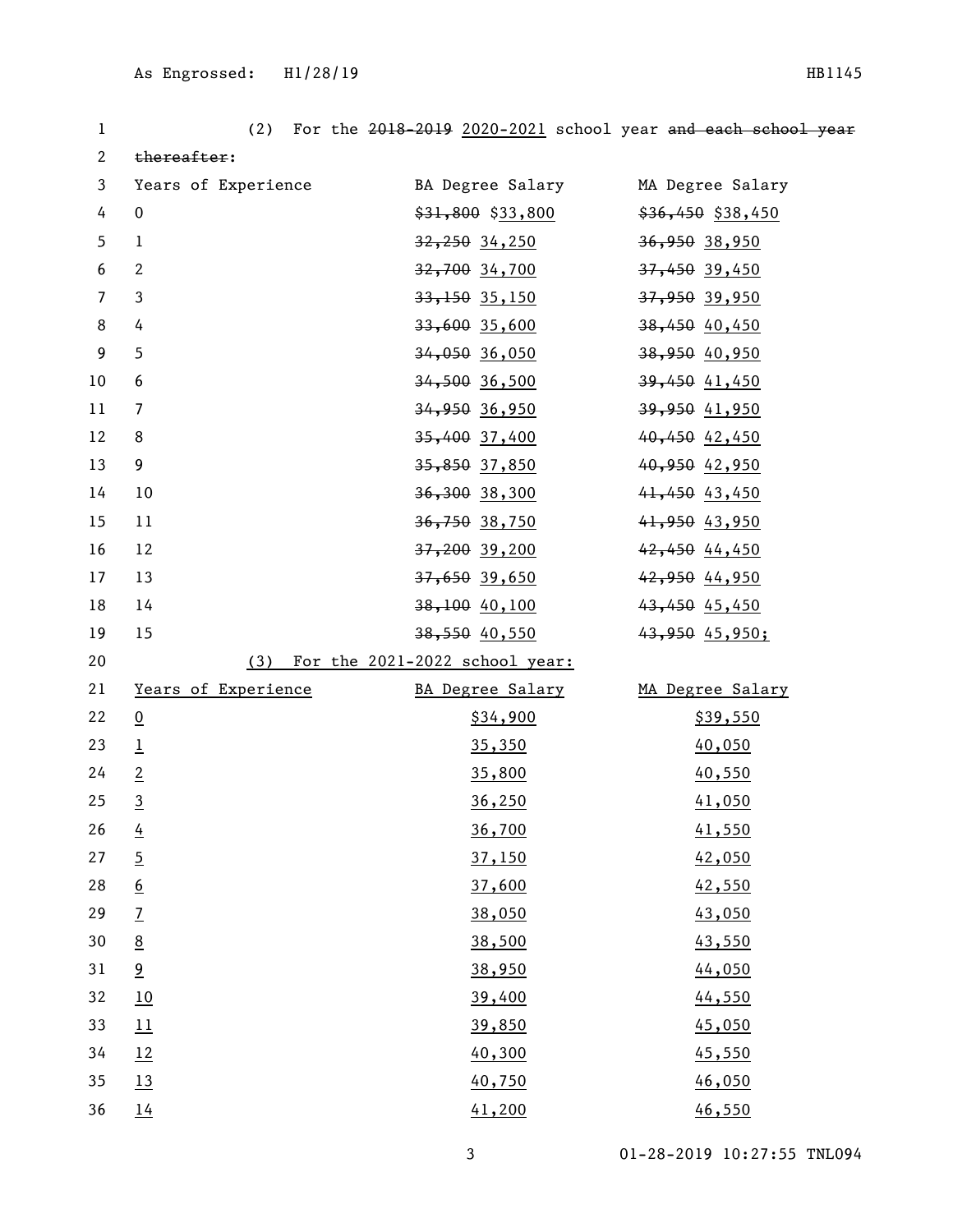| 1                | (2)                 |                                    | For the 2018-2019 2020-2021 school year and each school year |
|------------------|---------------------|------------------------------------|--------------------------------------------------------------|
| $\mathbf{2}$     | thereafter:         |                                    |                                                              |
| $\mathbf{3}$     | Years of Experience | BA Degree Salary MA Degree Salary  |                                                              |
| 4                | $\mathbf 0$         | $$31,800$ $$33,800$                | $$36,450$ \$38,450                                           |
| 5                | $\mathbf{1}$        | <del>32,250</del> 34,250           | 36,950 38,950                                                |
| 6                | $\overline{2}$      | <del>32,700</del> 34,700           | 37,450 39,450                                                |
| $\overline{7}$   | 3                   | $33,150$ $35,150$                  | 37,950 39,950                                                |
| $\,8\,$          | 4                   | 33,600 35,600                      | 38,450 40,450                                                |
| $\boldsymbol{9}$ | 5                   | <del>34,050</del> 36,050           | 38,950 40,950                                                |
| $10\,$           | 6                   | <del>34,500</del> 36,500           | 39,450 41,450                                                |
| 11               | $\overline{7}$      | <del>34,950</del> 36,950           | 39,950 41,950                                                |
| 12               | 8                   | <del>35,400</del> 37,400           | 40,450 42,450                                                |
| 13               | 9                   | <del>35,850</del> 37,850           | 40,950 42,950                                                |
| 14               | 10                  | 36,300 38,300                      | $41,450$ $43,450$                                            |
| 15               | 11                  | <del>36,750</del> 38,750           | 41,950 43,950                                                |
| 16               | 12                  | 37,200 39,200                      | 42,450 44,450                                                |
| 17               | 13                  | <del>37,650</del> 39,650           | 42,950 44,950                                                |
| 18               | 14                  | <del>38,100</del> 40,100           | 43,450 45,450                                                |
| 19               | 15                  | <del>38,550</del> 40,550           | 43,95045,950;                                                |
| 20               |                     | (3) For the 2021-2022 school year: |                                                              |
| 21               | Years of Experience | BA Degree Salary                   | MA Degree Salary                                             |
| 22               | $\underline{0}$     | \$34,900                           | \$39,550                                                     |
| 23               | $\overline{1}$      | 35,350                             | 40,050                                                       |
| 24               | $\overline{2}$      | 35,800                             | 40,550                                                       |
| 25               | $\overline{3}$      | 36,250                             | 41,050                                                       |
| 26               | $\overline{4}$      | 36,700                             | 41,550                                                       |
| 27               | $\overline{5}$      | 37,150                             | 42,050                                                       |
| 28               | $6\overline{6}$     | 37,600                             | 42,550                                                       |
| 29               | $\overline{1}$      | 38,050                             | 43,050                                                       |
| 30               | $\underline{8}$     | 38,500                             | 43,550                                                       |
| 31               | $\overline{9}$      | 38,950                             | 44,050                                                       |
| 32               | 10                  | 39,400                             | 44,550                                                       |
| 33               | 11                  | 39,850                             | 45,050                                                       |
| 34               | 12                  | 40,300                             | 45,550                                                       |
| 35               | 13                  | 40,750                             | 46,050                                                       |
| 36               | 14                  | 41,200                             | 46,550                                                       |